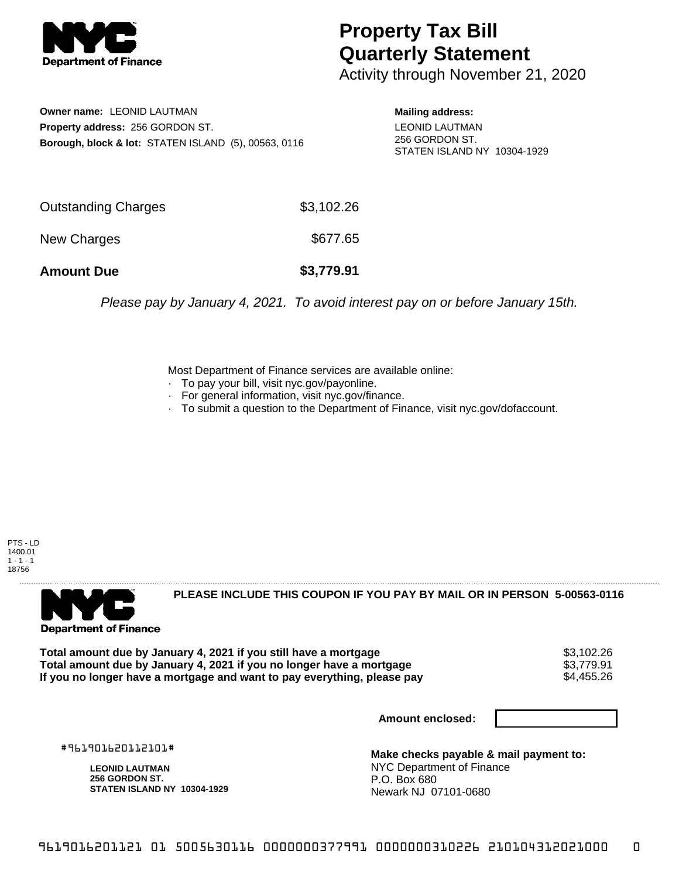

## **Property Tax Bill Quarterly Statement**

Activity through November 21, 2020

**Owner name:** LEONID LAUTMAN **Property address:** 256 GORDON ST. **Borough, block & lot:** STATEN ISLAND (5), 00563, 0116 **Mailing address:**

LEONID LAUTMAN 256 GORDON ST. STATEN ISLAND NY 10304-1929

| <b>Amount Due</b>   | \$3,779.91 |
|---------------------|------------|
| New Charges         | \$677.65   |
| Outstanding Charges | \$3,102.26 |

Please pay by January 4, 2021. To avoid interest pay on or before January 15th.

Most Department of Finance services are available online:

- · To pay your bill, visit nyc.gov/payonline.
- For general information, visit nyc.gov/finance.
- · To submit a question to the Department of Finance, visit nyc.gov/dofaccount.

PTS - LD 1400.01  $1 - 1 - 1$ 18756



**PLEASE INCLUDE THIS COUPON IF YOU PAY BY MAIL OR IN PERSON 5-00563-0116** 

**Total amount due by January 4, 2021 if you still have a mortgage**  $$3,102.26$ **<br>Total amount due by January 4, 2021 if you no longer have a mortgage**  $$3,779.91$ **Total amount due by January 4, 2021 if you no longer have a mortgage \$3,779.91<br>If you no longer have a mortgage and want to pay everything, please pay \$4.455.26** If you no longer have a mortgage and want to pay everything, please pay

**Amount enclosed:**

#961901620112101#

**LEONID LAUTMAN 256 GORDON ST. STATEN ISLAND NY 10304-1929**

**Make checks payable & mail payment to:** NYC Department of Finance P.O. Box 680 Newark NJ 07101-0680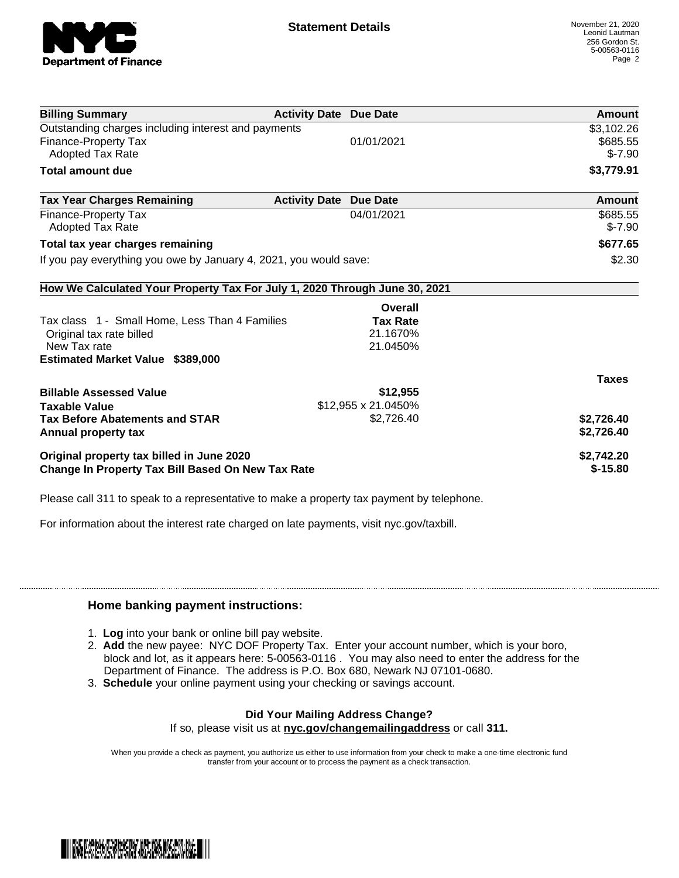

| <b>Billing Summary</b>                                                     | <b>Activity Date Due Date</b> |                     | <b>Amount</b> |
|----------------------------------------------------------------------------|-------------------------------|---------------------|---------------|
| Outstanding charges including interest and payments                        |                               |                     | \$3,102.26    |
| <b>Finance-Property Tax</b>                                                |                               | 01/01/2021          | \$685.55      |
| <b>Adopted Tax Rate</b>                                                    |                               |                     | $$-7.90$      |
| <b>Total amount due</b>                                                    |                               |                     | \$3,779.91    |
| <b>Tax Year Charges Remaining</b>                                          | <b>Activity Date</b>          | <b>Due Date</b>     | Amount        |
| <b>Finance-Property Tax</b>                                                |                               | 04/01/2021          | \$685.55      |
| Adopted Tax Rate                                                           |                               |                     | $$-7.90$      |
| Total tax year charges remaining                                           |                               |                     | \$677.65      |
| If you pay everything you owe by January 4, 2021, you would save:          |                               |                     | \$2.30        |
| How We Calculated Your Property Tax For July 1, 2020 Through June 30, 2021 |                               |                     |               |
|                                                                            |                               | Overall             |               |
| Tax class 1 - Small Home, Less Than 4 Families                             |                               | <b>Tax Rate</b>     |               |
| Original tax rate billed                                                   |                               | 21.1670%            |               |
| New Tax rate                                                               |                               | 21.0450%            |               |
| <b>Estimated Market Value \$389,000</b>                                    |                               |                     |               |
|                                                                            |                               |                     | <b>Taxes</b>  |
| <b>Billable Assessed Value</b>                                             |                               | \$12,955            |               |
| <b>Taxable Value</b>                                                       |                               | \$12,955 x 21.0450% |               |
| <b>Tax Before Abatements and STAR</b>                                      |                               | \$2,726.40          | \$2,726.40    |
| Annual property tax                                                        |                               |                     | \$2,726.40    |
| Original property tax billed in June 2020                                  |                               |                     | \$2,742.20    |
| <b>Change In Property Tax Bill Based On New Tax Rate</b>                   |                               |                     | $$-15.80$     |

Please call 311 to speak to a representative to make a property tax payment by telephone.

For information about the interest rate charged on late payments, visit nyc.gov/taxbill.

## **Home banking payment instructions:**

- 1. **Log** into your bank or online bill pay website.
- 2. **Add** the new payee: NYC DOF Property Tax. Enter your account number, which is your boro, block and lot, as it appears here: 5-00563-0116 . You may also need to enter the address for the Department of Finance. The address is P.O. Box 680, Newark NJ 07101-0680.
- 3. **Schedule** your online payment using your checking or savings account.

## **Did Your Mailing Address Change?**

If so, please visit us at **nyc.gov/changemailingaddress** or call **311.**

When you provide a check as payment, you authorize us either to use information from your check to make a one-time electronic fund transfer from your account or to process the payment as a check transaction.